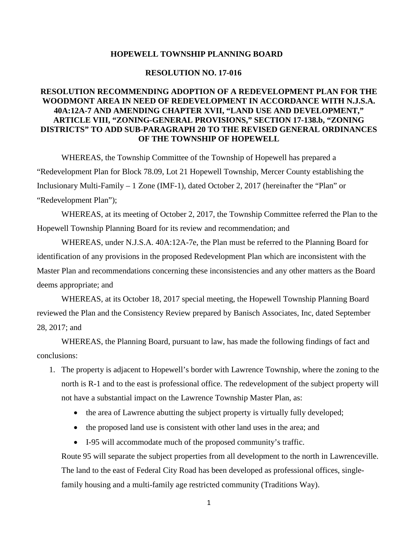#### **HOPEWELL TOWNSHIP PLANNING BOARD**

#### **RESOLUTION NO. 17-016**

### **RESOLUTION RECOMMENDING ADOPTION OF A REDEVELOPMENT PLAN FOR THE WOODMONT AREA IN NEED OF REDEVELOPMENT IN ACCORDANCE WITH N.J.S.A. 40A:12A-7 AND AMENDING CHAPTER XVII, "LAND USE AND DEVELOPMENT," ARTICLE VIII, "ZONING-GENERAL PROVISIONS," SECTION 17-138.b, "ZONING DISTRICTS" TO ADD SUB-PARAGRAPH 20 TO THE REVISED GENERAL ORDINANCES OF THE TOWNSHIP OF HOPEWELL**

WHEREAS, the Township Committee of the Township of Hopewell has prepared a "Redevelopment Plan for Block 78.09, Lot 21 Hopewell Township, Mercer County establishing the Inclusionary Multi-Family – 1 Zone (IMF-1), dated October 2, 2017 (hereinafter the "Plan" or "Redevelopment Plan");

WHEREAS, at its meeting of October 2, 2017, the Township Committee referred the Plan to the Hopewell Township Planning Board for its review and recommendation; and

WHEREAS, under N.J.S.A. 40A:12A-7e, the Plan must be referred to the Planning Board for identification of any provisions in the proposed Redevelopment Plan which are inconsistent with the Master Plan and recommendations concerning these inconsistencies and any other matters as the Board deems appropriate; and

WHEREAS, at its October 18, 2017 special meeting, the Hopewell Township Planning Board reviewed the Plan and the Consistency Review prepared by Banisch Associates, Inc, dated September 28, 2017; and

WHEREAS, the Planning Board, pursuant to law, has made the following findings of fact and conclusions:

- 1. The property is adjacent to Hopewell's border with Lawrence Township, where the zoning to the north is R-1 and to the east is professional office. The redevelopment of the subject property will not have a substantial impact on the Lawrence Township Master Plan, as:
	- the area of Lawrence abutting the subject property is virtually fully developed;
	- the proposed land use is consistent with other land uses in the area; and
	- I-95 will accommodate much of the proposed community's traffic.

Route 95 will separate the subject properties from all development to the north in Lawrenceville. The land to the east of Federal City Road has been developed as professional offices, singlefamily housing and a multi-family age restricted community (Traditions Way).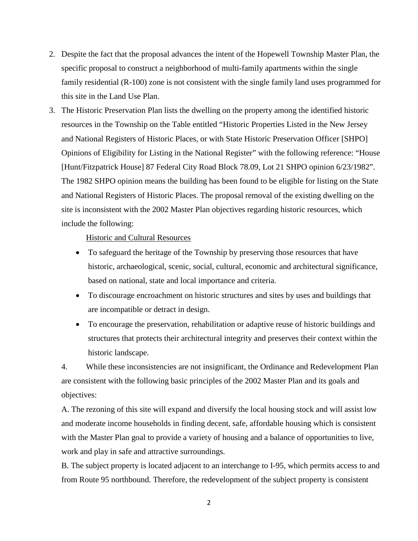- 2. Despite the fact that the proposal advances the intent of the Hopewell Township Master Plan, the specific proposal to construct a neighborhood of multi-family apartments within the single family residential (R-100) zone is not consistent with the single family land uses programmed for this site in the Land Use Plan.
- 3. The Historic Preservation Plan lists the dwelling on the property among the identified historic resources in the Township on the Table entitled "Historic Properties Listed in the New Jersey and National Registers of Historic Places, or with State Historic Preservation Officer [SHPO] Opinions of Eligibility for Listing in the National Register" with the following reference: "House [Hunt/Fitzpatrick House] 87 Federal City Road Block 78.09, Lot 21 SHPO opinion 6/23/1982". The 1982 SHPO opinion means the building has been found to be eligible for listing on the State and National Registers of Historic Places. The proposal removal of the existing dwelling on the site is inconsistent with the 2002 Master Plan objectives regarding historic resources, which include the following:

#### Historic and Cultural Resources

- To safeguard the heritage of the Township by preserving those resources that have historic, archaeological, scenic, social, cultural, economic and architectural significance, based on national, state and local importance and criteria.
- To discourage encroachment on historic structures and sites by uses and buildings that are incompatible or detract in design.
- To encourage the preservation, rehabilitation or adaptive reuse of historic buildings and structures that protects their architectural integrity and preserves their context within the historic landscape.

4. While these inconsistencies are not insignificant, the Ordinance and Redevelopment Plan are consistent with the following basic principles of the 2002 Master Plan and its goals and objectives:

A. The rezoning of this site will expand and diversify the local housing stock and will assist low and moderate income households in finding decent, safe, affordable housing which is consistent with the Master Plan goal to provide a variety of housing and a balance of opportunities to live, work and play in safe and attractive surroundings.

B. The subject property is located adjacent to an interchange to I-95, which permits access to and from Route 95 northbound. Therefore, the redevelopment of the subject property is consistent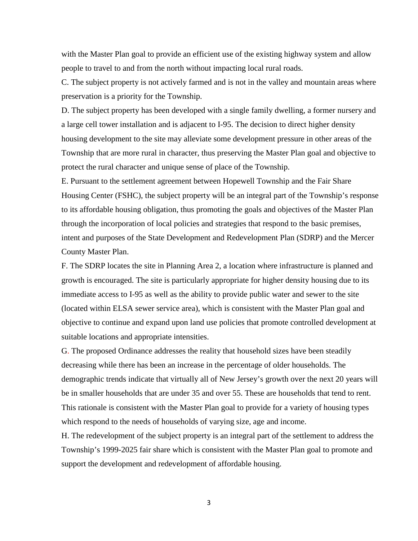with the Master Plan goal to provide an efficient use of the existing highway system and allow people to travel to and from the north without impacting local rural roads.

C. The subject property is not actively farmed and is not in the valley and mountain areas where preservation is a priority for the Township.

D. The subject property has been developed with a single family dwelling, a former nursery and a large cell tower installation and is adjacent to I-95. The decision to direct higher density housing development to the site may alleviate some development pressure in other areas of the Township that are more rural in character, thus preserving the Master Plan goal and objective to protect the rural character and unique sense of place of the Township.

E. Pursuant to the settlement agreement between Hopewell Township and the Fair Share Housing Center (FSHC), the subject property will be an integral part of the Township's response to its affordable housing obligation, thus promoting the goals and objectives of the Master Plan through the incorporation of local policies and strategies that respond to the basic premises, intent and purposes of the State Development and Redevelopment Plan (SDRP) and the Mercer County Master Plan.

F. The SDRP locates the site in Planning Area 2, a location where infrastructure is planned and growth is encouraged. The site is particularly appropriate for higher density housing due to its immediate access to I-95 as well as the ability to provide public water and sewer to the site (located within ELSA sewer service area), which is consistent with the Master Plan goal and objective to continue and expand upon land use policies that promote controlled development at suitable locations and appropriate intensities.

G. The proposed Ordinance addresses the reality that household sizes have been steadily decreasing while there has been an increase in the percentage of older households. The demographic trends indicate that virtually all of New Jersey's growth over the next 20 years will be in smaller households that are under 35 and over 55. These are households that tend to rent. This rationale is consistent with the Master Plan goal to provide for a variety of housing types which respond to the needs of households of varying size, age and income.

H. The redevelopment of the subject property is an integral part of the settlement to address the Township's 1999-2025 fair share which is consistent with the Master Plan goal to promote and support the development and redevelopment of affordable housing.

3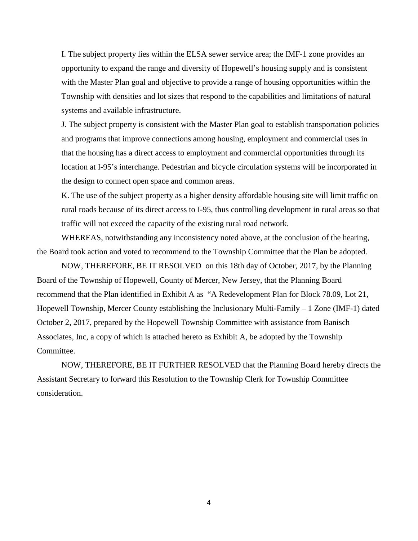I. The subject property lies within the ELSA sewer service area; the IMF-1 zone provides an opportunity to expand the range and diversity of Hopewell's housing supply and is consistent with the Master Plan goal and objective to provide a range of housing opportunities within the Township with densities and lot sizes that respond to the capabilities and limitations of natural systems and available infrastructure.

J. The subject property is consistent with the Master Plan goal to establish transportation policies and programs that improve connections among housing, employment and commercial uses in that the housing has a direct access to employment and commercial opportunities through its location at I-95's interchange. Pedestrian and bicycle circulation systems will be incorporated in the design to connect open space and common areas.

K. The use of the subject property as a higher density affordable housing site will limit traffic on rural roads because of its direct access to I-95, thus controlling development in rural areas so that traffic will not exceed the capacity of the existing rural road network.

WHEREAS, notwithstanding any inconsistency noted above, at the conclusion of the hearing, the Board took action and voted to recommend to the Township Committee that the Plan be adopted.

NOW, THEREFORE, BE IT RESOLVED on this 18th day of October, 2017, by the Planning Board of the Township of Hopewell, County of Mercer, New Jersey, that the Planning Board recommend that the Plan identified in Exhibit A as "A Redevelopment Plan for Block 78.09, Lot 21, Hopewell Township, Mercer County establishing the Inclusionary Multi-Family – 1 Zone (IMF-1) dated October 2, 2017, prepared by the Hopewell Township Committee with assistance from Banisch Associates, Inc, a copy of which is attached hereto as Exhibit A, be adopted by the Township Committee.

NOW, THEREFORE, BE IT FURTHER RESOLVED that the Planning Board hereby directs the Assistant Secretary to forward this Resolution to the Township Clerk for Township Committee consideration.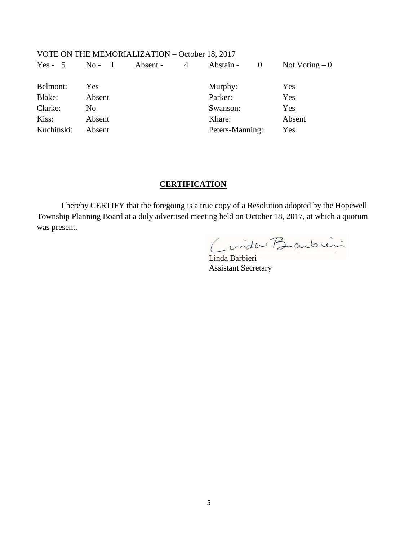### VOTE ON THE MEMORIALIZATION – October 18, 2017

| $Yes - 5$  | $No - 1$       | Absent -<br>$\overline{4}$ | Abstain - 0     | Not Voting $-0$ |
|------------|----------------|----------------------------|-----------------|-----------------|
| Belmont:   | Yes            |                            | Murphy:         | Yes             |
| Blake:     | Absent         |                            | Parker:         | Yes             |
| Clarke:    | N <sub>0</sub> |                            | Swanson:        | Yes             |
| Kiss:      | Absent         |                            | Khare:          | Absent          |
| Kuchinski: | Absent         |                            | Peters-Manning: | Yes             |

### **CERTIFICATION**

I hereby CERTIFY that the foregoing is a true copy of a Resolution adopted by the Hopewell Township Planning Board at a duly advertised meeting held on October 18, 2017, at which a quorum was present.

Cinda Barbier

Linda Barbieri Assistant Secretary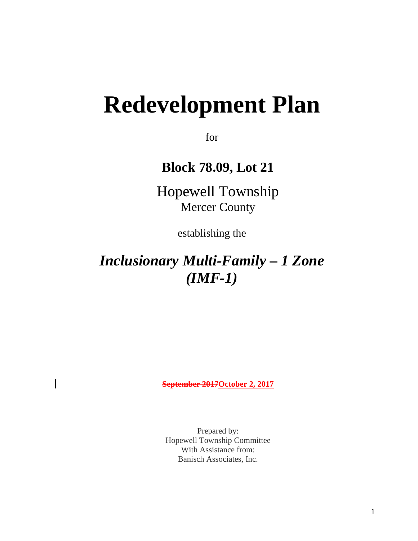# **Redevelopment Plan**

for

**Block 78.09, Lot 21**

Hopewell Township Mercer County

establishing the

## *Inclusionary Multi-Family – 1 Zone (IMF-1)*

**September 2017October 2, 2017**

Prepared by: Hopewell Township Committee With Assistance from: Banisch Associates, Inc.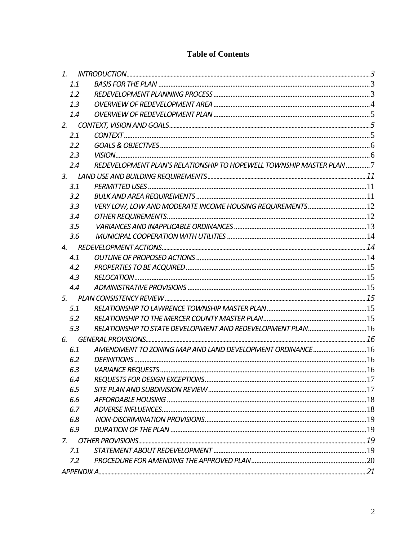### **Table of Contents**

| 1. |     |                                                                      |  |
|----|-----|----------------------------------------------------------------------|--|
|    | 1.1 |                                                                      |  |
|    | 1.2 |                                                                      |  |
|    | 1.3 |                                                                      |  |
|    | 1.4 |                                                                      |  |
| 2. |     |                                                                      |  |
|    | 2.1 |                                                                      |  |
|    | 2.2 |                                                                      |  |
|    | 2.3 |                                                                      |  |
|    | 2.4 | REDEVELOPMENT PLAN'S RELATIONSHIP TO HOPEWELL TOWNSHIP MASTER PLAN 7 |  |
|    |     |                                                                      |  |
|    | 3.1 |                                                                      |  |
|    | 3.2 |                                                                      |  |
|    | 3.3 | VERY LOW, LOW AND MODERATE INCOME HOUSING REQUIREMENTS 12            |  |
|    | 3.4 |                                                                      |  |
|    | 3.5 |                                                                      |  |
|    | 3.6 |                                                                      |  |
| 4. |     |                                                                      |  |
|    | 4.1 |                                                                      |  |
|    | 4.2 |                                                                      |  |
|    | 4.3 |                                                                      |  |
|    | 4.4 |                                                                      |  |
|    |     |                                                                      |  |
|    | 5.1 |                                                                      |  |
|    | 5.2 |                                                                      |  |
|    | 5.3 | RELATIONSHIP TO STATE DEVELOPMENT AND REDEVELOPMENT PLAN 16          |  |
| 6. |     |                                                                      |  |
|    | 6.1 | AMENDMENT TO ZONING MAP AND LAND DEVELOPMENT ORDINANCE 16            |  |
|    | 6.2 |                                                                      |  |
|    | 6.3 |                                                                      |  |
|    | 6.4 |                                                                      |  |
|    | 6.5 |                                                                      |  |
|    | 6.6 |                                                                      |  |
|    | 6.7 |                                                                      |  |
|    | 6.8 |                                                                      |  |
|    | 6.9 |                                                                      |  |
|    |     |                                                                      |  |
|    | 7.1 |                                                                      |  |
|    | 7.2 |                                                                      |  |
|    |     |                                                                      |  |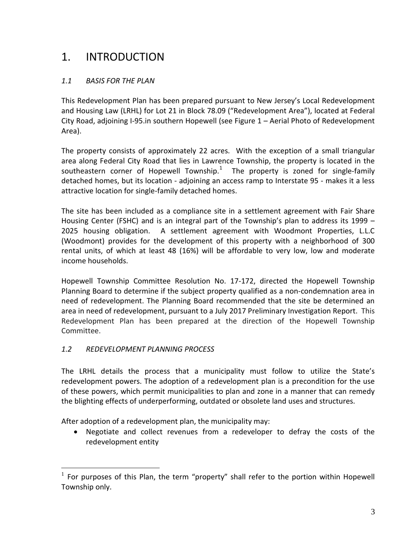### <span id="page-7-0"></span>1. INTRODUCTION

### <span id="page-7-1"></span>*1.1 BASIS FOR THE PLAN*

This Redevelopment Plan has been prepared pursuant to New Jersey's Local Redevelopment and Housing Law (LRHL) for Lot 21 in Block 78.09 ("Redevelopment Area"), located at Federal City Road, adjoining I-95.in southern Hopewell (see Figure 1 – Aerial Photo of Redevelopment Area).

The property consists of approximately 22 acres. With the exception of a small triangular area along Federal City Road that lies in Lawrence Township, the property is located in the southeastern corner of Hopewell Township.<sup>[1](#page-7-3)</sup> The property is zoned for single-family detached homes, but its location - adjoining an access ramp to Interstate 95 - makes it a less attractive location for single-family detached homes.

The site has been included as a compliance site in a settlement agreement with Fair Share Housing Center (FSHC) and is an integral part of the Township's plan to address its 1999 – 2025 housing obligation. A settlement agreement with Woodmont Properties, L.L.C (Woodmont) provides for the development of this property with a neighborhood of 300 rental units, of which at least 48 (16%) will be affordable to very low, low and moderate income households.

Hopewell Township Committee Resolution No. 17-172, directed the Hopewell Township Planning Board to determine if the subject property qualified as a non-condemnation area in need of redevelopment. The Planning Board recommended that the site be determined an area in need of redevelopment, pursuant to a July 2017 Preliminary Investigation Report. This Redevelopment Plan has been prepared at the direction of the Hopewell Township Committee.

### <span id="page-7-2"></span>*1.2 REDEVELOPMENT PLANNING PROCESS*

The LRHL details the process that a municipality must follow to utilize the State's redevelopment powers. The adoption of a redevelopment plan is a precondition for the use of these powers, which permit municipalities to plan and zone in a manner that can remedy the blighting effects of underperforming, outdated or obsolete land uses and structures.

After adoption of a redevelopment plan, the municipality may:

• Negotiate and collect revenues from a redeveloper to defray the costs of the redevelopment entity

<span id="page-7-3"></span> $1$  For purposes of this Plan, the term "property" shall refer to the portion within Hopewell Township only.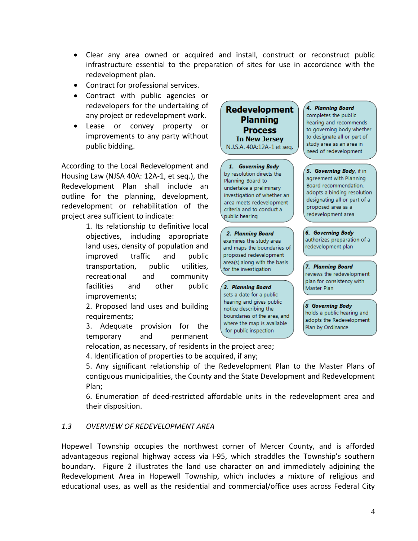- Clear any area owned or acquired and install, construct or reconstruct public infrastructure essential to the preparation of sites for use in accordance with the redevelopment plan.
- Contract for professional services.
- Contract with public agencies or redevelopers for the undertaking of any project or redevelopment work.
- Lease or convey property or improvements to any party without public bidding.

According to the Local Redevelopment and Housing Law (NJSA 40A: 12A-1, et seq.), the Redevelopment Plan shall include an outline for the planning, development, redevelopment or rehabilitation of the project area sufficient to indicate:

> 1. Its relationship to definitive local objectives, including appropriate land uses, density of population and improved traffic and public transportation, public utilities, recreational and community facilities and other public improvements;

> 2. Proposed land uses and building requirements;

> 3. Adequate provision for the temporary and permanent



1. Governing Body by resolution directs the Planning Board to undertake a preliminary investigation of whether an area meets redevelopment criteria and to conduct a public hearing

2. Planning Board examines the study area and maps the boundaries of proposed redevelopment area(s) along with the basis for the investigation

3. Planning Board sets a date for a public hearing and gives public notice describing the boundaries of the area, and where the map is available for public inspection

4. Planning Board completes the public hearing and recommends to governing body whether to designate all or part of study area as an area in need of redevelopment

5. Governing Body, if in agreement with Planning Board recommendation. adopts a binding resolution designating all or part of a proposed area as a redevelopment area

6. Governing Body authorizes preparation of a redevelopment plan

7. Planning Board reviews the redevelopment plan for consistency with Master Plan

**8 Governing Body** holds a public hearing and adopts the Redevelopment Plan by Ordinance

4. Identification of properties to be acquired, if any; 5. Any significant relationship of the Redevelopment Plan to the Master Plans of

relocation, as necessary, of residents in the project area;

contiguous municipalities, the County and the State Development and Redevelopment Plan;

6. Enumeration of deed-restricted affordable units in the redevelopment area and their disposition.

### <span id="page-8-0"></span>*1.3 OVERVIEW OF REDEVELOPMENT AREA*

Hopewell Township occupies the northwest corner of Mercer County, and is afforded advantageous regional highway access via I-95, which straddles the Township's southern boundary. Figure 2 illustrates the land use character on and immediately adjoining the Redevelopment Area in Hopewell Township, which includes a mixture of religious and educational uses, as well as the residential and commercial/office uses across Federal City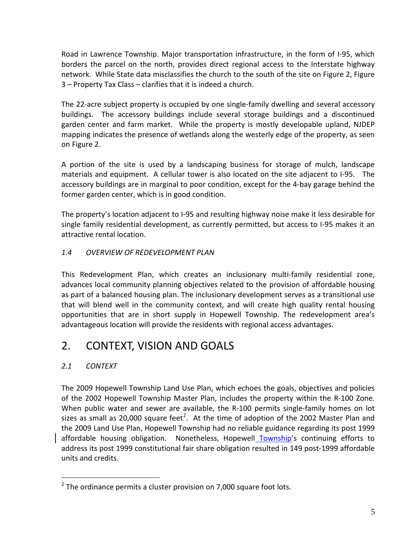Road in Lawrence Township. Major transportation infrastructure, in the form of I-95, which borders the parcel on the north, provides direct regional access to the Interstate highway network. While State data misclassifies the church to the south of the site on Figure 2, Figure 3 – Property Tax Class – clarifies that it is indeed a church.

The 22-acre subject property is occupied by one single-family dwelling and several accessory buildings. The accessory buildings include several storage buildings and a discontinued garden center and farm market. While the property is mostly developable upland, NJDEP mapping indicates the presence of wetlands along the westerly edge of the property, as seen on Figure 2.

A portion of the site is used by a landscaping business for storage of mulch, landscape materials and equipment. A cellular tower is also located on the site adjacent to I-95. The accessory buildings are in marginal to poor condition, except for the 4-bay garage behind the former garden center, which is in good condition.

The property's location adjacent to I-95 and resulting highway noise make it less desirable for single family residential development, as currently permitted, but access to I-95 makes it an attractive rental location.

### <span id="page-9-0"></span>*1.4 OVERVIEW OF REDEVELOPMENT PLAN*

This Redevelopment Plan, which creates an inclusionary multi-family residential zone, advances local community planning objectives related to the provision of affordable housing as part of a balanced housing plan. The inclusionary development serves as a transitional use that will blend well in the community context, and will create high quality rental housing opportunities that are in short supply in Hopewell Township. The redevelopment area's advantageous location will provide the residents with regional access advantages.

### <span id="page-9-1"></span>2. CONTEXT, VISION AND GOALS

### <span id="page-9-2"></span>*2.1 CONTEXT*

The 2009 Hopewell Township Land Use Plan, which echoes the goals, objectives and policies of the 2002 Hopewell Township Master Plan, includes the property within the R-100 Zone. When public water and sewer are available, the R-100 permits single-family homes on lot sizes as small as [2](#page-9-3)0,000 square feet<sup>2</sup>. At the time of adoption of the 2002 Master Plan and the 2009 Land Use Plan, Hopewell Township had no reliable guidance regarding its post 1999 affordable housing obligation. Nonetheless, Hopewell Township's continuing efforts to address its post 1999 constitutional fair share obligation resulted in 149 post-1999 affordable units and credits.

<span id="page-9-3"></span> $2$  The ordinance permits a cluster provision on 7,000 square foot lots.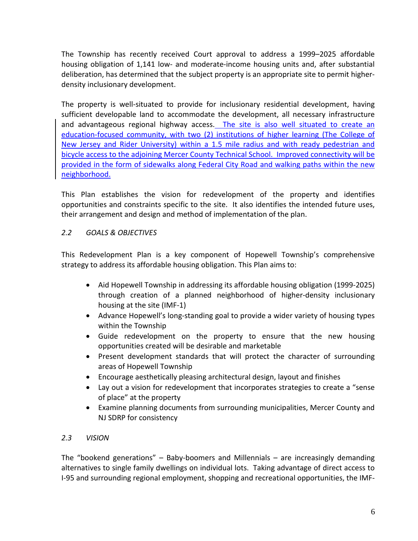The Township has recently received Court approval to address a 1999–2025 affordable housing obligation of 1,141 low- and moderate-income housing units and, after substantial deliberation, has determined that the subject property is an appropriate site to permit higherdensity inclusionary development.

The property is well-situated to provide for inclusionary residential development, having sufficient developable land to accommodate the development, all necessary infrastructure and advantageous regional highway access. The site is also well situated to create an education-focused community, with two (2) institutions of higher learning (The College of New Jersey and Rider University) within a 1.5 mile radius and with ready pedestrian and bicycle access to the adjoining Mercer County Technical School. Improved connectivity will be provided in the form of sidewalks along Federal City Road and walking paths within the new neighborhood.

This Plan establishes the vision for redevelopment of the property and identifies opportunities and constraints specific to the site. It also identifies the intended future uses, their arrangement and design and method of implementation of the plan.

### <span id="page-10-0"></span>*2.2 GOALS & OBJECTIVES*

This Redevelopment Plan is a key component of Hopewell Township's comprehensive strategy to address its affordable housing obligation. This Plan aims to:

- Aid Hopewell Township in addressing its affordable housing obligation (1999-2025) through creation of a planned neighborhood of higher-density inclusionary housing at the site (IMF-1)
- Advance Hopewell's long-standing goal to provide a wider variety of housing types within the Township
- Guide redevelopment on the property to ensure that the new housing opportunities created will be desirable and marketable
- Present development standards that will protect the character of surrounding areas of Hopewell Township
- Encourage aesthetically pleasing architectural design, layout and finishes
- Lay out a vision for redevelopment that incorporates strategies to create a "sense of place" at the property
- Examine planning documents from surrounding municipalities, Mercer County and NJ SDRP for consistency

### <span id="page-10-1"></span>*2.3 VISION*

The "bookend generations" – Baby-boomers and Millennials – are increasingly demanding alternatives to single family dwellings on individual lots. Taking advantage of direct access to I-95 and surrounding regional employment, shopping and recreational opportunities, the IMF-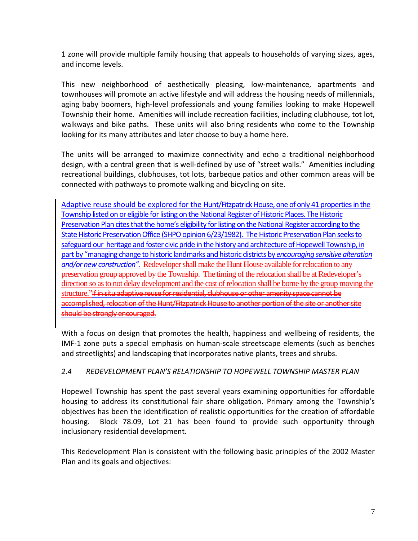1 zone will provide multiple family housing that appeals to households of varying sizes, ages, and income levels.

This new neighborhood of aesthetically pleasing, low-maintenance, apartments and townhouses will promote an active lifestyle and will address the housing needs of millennials, aging baby boomers, high-level professionals and young families looking to make Hopewell Township their home. Amenities will include recreation facilities, including clubhouse, tot lot, walkways and bike paths. These units will also bring residents who come to the Township looking for its many attributes and later choose to buy a home here.

The units will be arranged to maximize connectivity and echo a traditional neighborhood design, with a central green that is well-defined by use of "street walls." Amenities including recreational buildings, clubhouses, tot lots, barbeque patios and other common areas will be connected with pathways to promote walking and bicycling on site.

Adaptive reuse should be explored for the Hunt/Fitzpatrick House, one of only 41 properties in the Township listed on or eligible for listing on the National Register of Historic Places. The Historic Preservation Plan cites that the home's eligibility for listing on the National Register according to the State Historic Preservation Office (SHPO opinion 6/23/1982). The Historic Preservation Plan seeks to safeguard our heritage and foster civic pride in the history and architecture of Hopewell Township, in part by "managing change to historic landmarks and historic districts by *encouraging sensitive alteration and/or new construction".* Redeveloper shall make the Hunt House available for relocation to any preservation group approved by the Township. The timing of the relocation shall be at Redeveloper's direction so as to not delay development and the cost of relocation shall be borne by the group moving the structure."If in situ adaptive reuse for residential, clubhouse or other amenity space cannot be accomplished, relocation of the Hunt/Fitzpatrick House to another portion of the site or another site should be strongly encouraged.

With a focus on design that promotes the health, happiness and wellbeing of residents, the IMF-1 zone puts a special emphasis on human-scale streetscape elements (such as benches and streetlights) and landscaping that incorporates native plants, trees and shrubs.

### <span id="page-11-0"></span>*2.4 REDEVELOPMENT PLAN'S RELATIONSHIP TO HOPEWELL TOWNSHIP MASTER PLAN*

Hopewell Township has spent the past several years examining opportunities for affordable housing to address its constitutional fair share obligation. Primary among the Township's objectives has been the identification of realistic opportunities for the creation of affordable housing. Block 78.09, Lot 21 has been found to provide such opportunity through inclusionary residential development.

This Redevelopment Plan is consistent with the following basic principles of the 2002 Master Plan and its goals and objectives: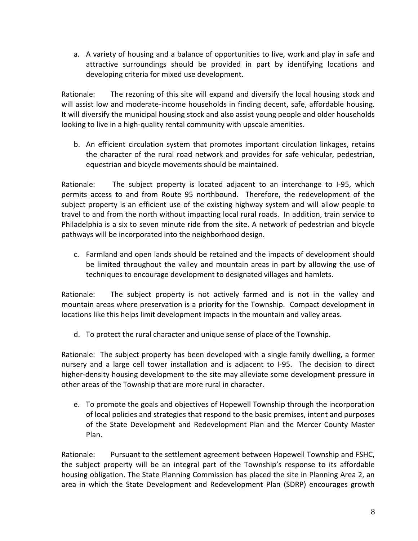a. A variety of housing and a balance of opportunities to live, work and play in safe and attractive surroundings should be provided in part by identifying locations and developing criteria for mixed use development.

Rationale: The rezoning of this site will expand and diversify the local housing stock and will assist low and moderate-income households in finding decent, safe, affordable housing. It will diversify the municipal housing stock and also assist young people and older households looking to live in a high-quality rental community with upscale amenities.

b. An efficient circulation system that promotes important circulation linkages, retains the character of the rural road network and provides for safe vehicular, pedestrian, equestrian and bicycle movements should be maintained.

Rationale: The subject property is located adjacent to an interchange to I-95, which permits access to and from Route 95 northbound. Therefore, the redevelopment of the subject property is an efficient use of the existing highway system and will allow people to travel to and from the north without impacting local rural roads. In addition, train service to Philadelphia is a six to seven minute ride from the site. A network of pedestrian and bicycle pathways will be incorporated into the neighborhood design.

c. Farmland and open lands should be retained and the impacts of development should be limited throughout the valley and mountain areas in part by allowing the use of techniques to encourage development to designated villages and hamlets.

Rationale: The subject property is not actively farmed and is not in the valley and mountain areas where preservation is a priority for the Township. Compact development in locations like this helps limit development impacts in the mountain and valley areas.

d. To protect the rural character and unique sense of place of the Township.

Rationale: The subject property has been developed with a single family dwelling, a former nursery and a large cell tower installation and is adjacent to I-95. The decision to direct higher-density housing development to the site may alleviate some development pressure in other areas of the Township that are more rural in character.

e. To promote the goals and objectives of Hopewell Township through the incorporation of local policies and strategies that respond to the basic premises, intent and purposes of the State Development and Redevelopment Plan and the Mercer County Master Plan.

Rationale: Pursuant to the settlement agreement between Hopewell Township and FSHC, the subject property will be an integral part of the Township's response to its affordable housing obligation. The State Planning Commission has placed the site in Planning Area 2, an area in which the State Development and Redevelopment Plan (SDRP) encourages growth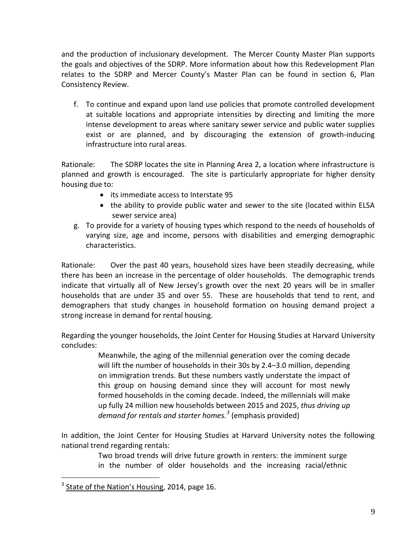and the production of inclusionary development. The Mercer County Master Plan supports the goals and objectives of the SDRP. More information about how this Redevelopment Plan relates to the SDRP and Mercer County's Master Plan can be found in section 6, Plan Consistency Review.

f. To continue and expand upon land use policies that promote controlled development at suitable locations and appropriate intensities by directing and limiting the more intense development to areas where sanitary sewer service and public water supplies exist or are planned, and by discouraging the extension of growth-inducing infrastructure into rural areas.

Rationale: The SDRP locates the site in Planning Area 2, a location where infrastructure is planned and growth is encouraged. The site is particularly appropriate for higher density housing due to:

- its immediate access to Interstate 95
- the ability to provide public water and sewer to the site (located within ELSA sewer service area)
- g. To provide for a variety of housing types which respond to the needs of households of varying size, age and income, persons with disabilities and emerging demographic characteristics.

Rationale: Over the past 40 years, household sizes have been steadily decreasing, while there has been an increase in the percentage of older households. The demographic trends indicate that virtually all of New Jersey's growth over the next 20 years will be in smaller households that are under 35 and over 55. These are households that tend to rent, and demographers that study changes in household formation on housing demand project a strong increase in demand for rental housing.

Regarding the younger households, the Joint Center for Housing Studies at Harvard University concludes:

> Meanwhile, the aging of the millennial generation over the coming decade will lift the number of households in their 30s by 2.4–3.0 million, depending on immigration trends. But these numbers vastly understate the impact of this group on housing demand since they will account for most newly formed households in the coming decade. Indeed, the millennials will make up fully 24 million new households between 2015 and 2025, *thus driving up demand for rentals and starter homes.[3](#page-13-0)* (emphasis provided)

In addition, the Joint Center for Housing Studies at Harvard University notes the following national trend regarding rentals:

> Two broad trends will drive future growth in renters: the imminent surge in the number of older households and the increasing racial/ethnic

<span id="page-13-0"></span> $3$  State of the Nation's Housing, 2014, page 16.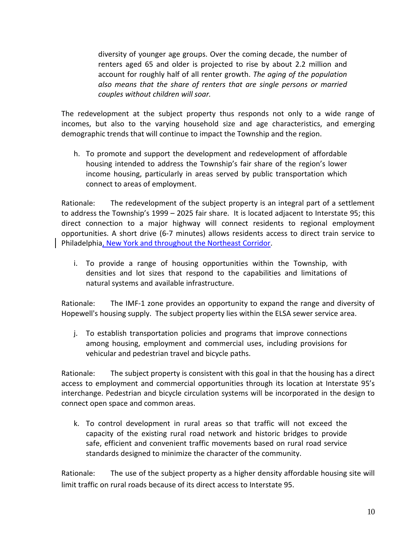diversity of younger age groups. Over the coming decade, the number of renters aged 65 and older is projected to rise by about 2.2 million and account for roughly half of all renter growth. *The aging of the population also means that the share of renters that are single persons or married couples without children will soar.* 

The redevelopment at the subject property thus responds not only to a wide range of incomes, but also to the varying household size and age characteristics, and emerging demographic trends that will continue to impact the Township and the region.

h. To promote and support the development and redevelopment of affordable housing intended to address the Township's fair share of the region's lower income housing, particularly in areas served by public transportation which connect to areas of employment.

Rationale: The redevelopment of the subject property is an integral part of a settlement to address the Township's 1999 – 2025 fair share. It is located adjacent to Interstate 95; this direct connection to a major highway will connect residents to regional employment opportunities. A short drive (6-7 minutes) allows residents access to direct train service to Philadelphia, New York and throughout the Northeast Corridor.

i. To provide a range of housing opportunities within the Township, with densities and lot sizes that respond to the capabilities and limitations of natural systems and available infrastructure.

Rationale: The IMF-1 zone provides an opportunity to expand the range and diversity of Hopewell's housing supply. The subject property lies within the ELSA sewer service area.

j. To establish transportation policies and programs that improve connections among housing, employment and commercial uses, including provisions for vehicular and pedestrian travel and bicycle paths.

Rationale: The subject property is consistent with this goal in that the housing has a direct access to employment and commercial opportunities through its location at Interstate 95's interchange. Pedestrian and bicycle circulation systems will be incorporated in the design to connect open space and common areas.

k. To control development in rural areas so that traffic will not exceed the capacity of the existing rural road network and historic bridges to provide safe, efficient and convenient traffic movements based on rural road service standards designed to minimize the character of the community.

Rationale: The use of the subject property as a higher density affordable housing site will limit traffic on rural roads because of its direct access to Interstate 95.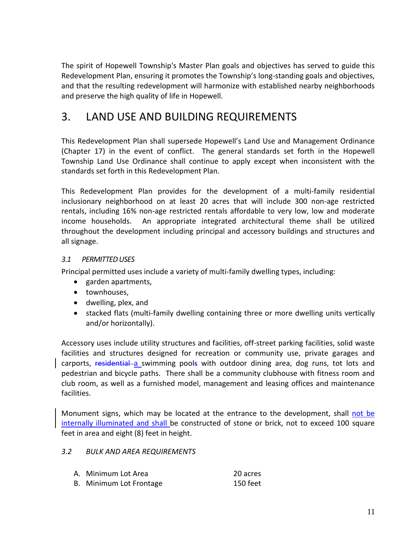The spirit of Hopewell Township's Master Plan goals and objectives has served to guide this Redevelopment Plan, ensuring it promotes the Township's long-standing goals and objectives, and that the resulting redevelopment will harmonize with established nearby neighborhoods and preserve the high quality of life in Hopewell.

### <span id="page-15-0"></span>3. LAND USE AND BUILDING REQUIREMENTS

This Redevelopment Plan shall supersede Hopewell's Land Use and Management Ordinance (Chapter 17) in the event of conflict. The general standards set forth in the Hopewell Township Land Use Ordinance shall continue to apply except when inconsistent with the standards set forth in this Redevelopment Plan.

This Redevelopment Plan provides for the development of a multi-family residential inclusionary neighborhood on at least 20 acres that will include 300 non-age restricted rentals, including 16% non-age restricted rentals affordable to very low, low and moderate income households. An appropriate integrated architectural theme shall be utilized throughout the development including principal and accessory buildings and structures and all signage.

### <span id="page-15-1"></span>*3.1 PERMITTED USES*

Principal permitted uses include a variety of multi-family dwelling types, including:

- garden apartments,
- townhouses,
- dwelling, plex, and
- stacked flats (multi-family dwelling containing three or more dwelling units vertically and/or horizontally).

Accessory uses include utility structures and facilities, off-street parking facilities, solid waste facilities and structures designed for recreation or community use, private garages and carports, residential a swimming pools with outdoor dining area, dog runs, tot lots and pedestrian and bicycle paths. There shall be a community clubhouse with fitness room and club room, as well as a furnished model, management and leasing offices and maintenance facilities.

Monument signs, which may be located at the entrance to the development, shall not be internally illuminated and shall be constructed of stone or brick, not to exceed 100 square feet in area and eight (8) feet in height.

### <span id="page-15-2"></span>*3.2 BULK AND AREA REQUIREMENTS*

| A. Minimum Lot Area     | 20 acres |
|-------------------------|----------|
| B. Minimum Lot Frontage | 150 feet |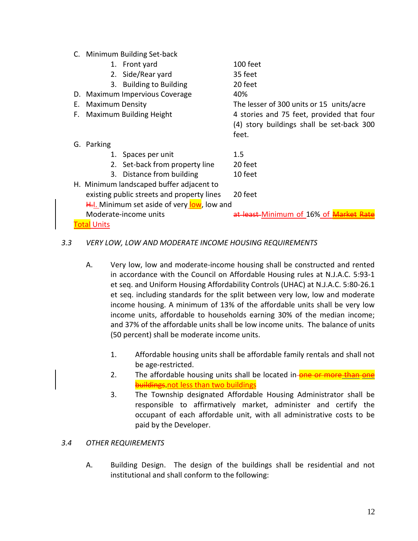C. Minimum Building Set-back

|             |                        | 1. Front yard                               | 100 feet                                                                                        |  |  |
|-------------|------------------------|---------------------------------------------|-------------------------------------------------------------------------------------------------|--|--|
|             |                        | 2. Side/Rear yard                           | 35 feet                                                                                         |  |  |
|             |                        | 3. Building to Building                     | 20 feet                                                                                         |  |  |
|             |                        | D. Maximum Impervious Coverage              | 40%                                                                                             |  |  |
| Е.          | <b>Maximum Density</b> |                                             | The lesser of 300 units or 15 units/acre                                                        |  |  |
| F.          |                        | Maximum Building Height                     | 4 stories and 75 feet, provided that four<br>(4) story buildings shall be set-back 300<br>feet. |  |  |
|             | G. Parking             |                                             |                                                                                                 |  |  |
|             |                        | 1. Spaces per unit                          | 1.5                                                                                             |  |  |
|             |                        | 2. Set-back from property line              | 20 feet                                                                                         |  |  |
|             |                        | 3. Distance from building                   | 10 feet                                                                                         |  |  |
|             |                        | H. Minimum landscaped buffer adjacent to    |                                                                                                 |  |  |
|             |                        | existing public streets and property lines  | 20 feet                                                                                         |  |  |
|             |                        | H.I. Minimum set aside of very low, low and |                                                                                                 |  |  |
|             |                        | Moderate-income units                       | at least-Minimum of 16% of Market                                                               |  |  |
| Total Units |                        |                                             |                                                                                                 |  |  |

### <span id="page-16-0"></span>*3.3 VERY LOW, LOW AND MODERATE INCOME HOUSING REQUIREMENTS*

- A. Very low, low and moderate-income housing shall be constructed and rented in accordance with the Council on Affordable Housing rules at N.J.A.C. 5:93-1 et seq. and Uniform Housing Affordability Controls (UHAC) at N.J.A.C. 5:80-26.1 et seq. including standards for the split between very low, low and moderate income housing. A minimum of 13% of the affordable units shall be very low income units, affordable to households earning 30% of the median income; and 37% of the affordable units shall be low income units. The balance of units (50 percent) shall be moderate income units.
	- 1. Affordable housing units shall be affordable family rentals and shall not be age-restricted.
	- 2. The affordable housing units shall be located in-**one or more than buildings** not less than two buildings
	- 3. The Township designated Affordable Housing Administrator shall be responsible to affirmatively market, administer and certify the occupant of each affordable unit, with all administrative costs to be paid by the Developer.

### <span id="page-16-1"></span>*3.4 OTHER REQUIREMENTS*

A. Building Design. The design of the buildings shall be residential and not institutional and shall conform to the following: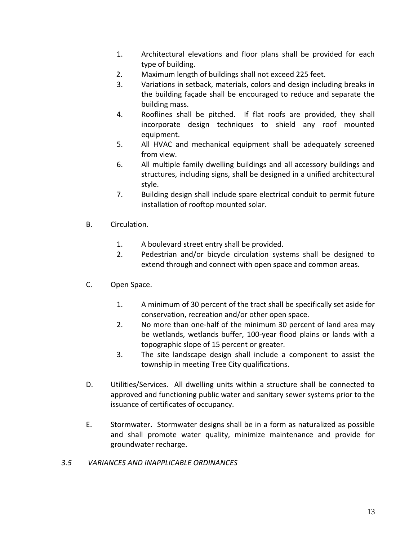- 1. Architectural elevations and floor plans shall be provided for each type of building.
- 2. Maximum length of buildings shall not exceed 225 feet.
- 3. Variations in setback, materials, colors and design including breaks in the building façade shall be encouraged to reduce and separate the building mass.
- 4. Rooflines shall be pitched. If flat roofs are provided, they shall incorporate design techniques to shield any roof mounted equipment.
- 5. All HVAC and mechanical equipment shall be adequately screened from view.
- 6. All multiple family dwelling buildings and all accessory buildings and structures, including signs, shall be designed in a unified architectural style.
- 7. Building design shall include spare electrical conduit to permit future installation of rooftop mounted solar.
- B. Circulation.
	- 1. A boulevard street entry shall be provided.
	- 2. Pedestrian and/or bicycle circulation systems shall be designed to extend through and connect with open space and common areas.
- C. Open Space.
	- 1. A minimum of 30 percent of the tract shall be specifically set aside for conservation, recreation and/or other open space.
	- 2. No more than one-half of the minimum 30 percent of land area may be wetlands, wetlands buffer, 100-year flood plains or lands with a topographic slope of 15 percent or greater.
	- 3. The site landscape design shall include a component to assist the township in meeting Tree City qualifications.
- D. Utilities/Services. All dwelling units within a structure shall be connected to approved and functioning public water and sanitary sewer systems prior to the issuance of certificates of occupancy.
- E. Stormwater. Stormwater designs shall be in a form as naturalized as possible and shall promote water quality, minimize maintenance and provide for groundwater recharge.
- <span id="page-17-0"></span>*3.5 VARIANCES AND INAPPLICABLE ORDINANCES*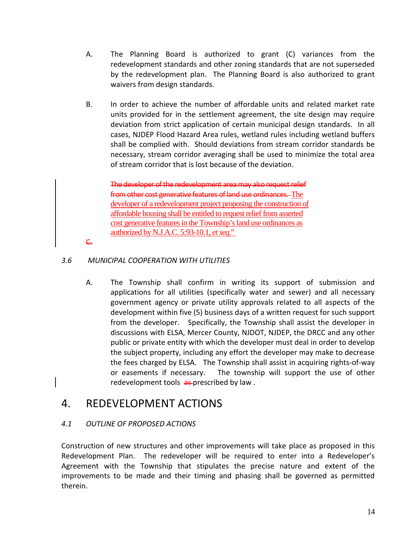- A. The Planning Board is authorized to grant (C) variances from the redevelopment standards and other zoning standards that are not superseded by the redevelopment plan. The Planning Board is also authorized to grant waivers from design standards.
- <span id="page-18-0"></span>B. In order to achieve the number of affordable units and related market rate units provided for in the settlement agreement, the site design may require deviation from strict application of certain municipal design standards. In all cases, NJDEP Flood Hazard Area rules, wetland rules including wetland buffers shall be complied with. Should deviations from stream corridor standards be necessary, stream corridor averaging shall be used to minimize the total area of stream corridor that is lost because of the deviation.

The developer of the redevelopment area may also request relief from other cost generative features of land use ordinances. The developer of a redevelopment project proposing the construction of affordable housing shall be entitled to request relief from asserted cost generative features in the Township's land use ordinances as authorized by N.J.A.C. 5:93-10.1, *et seq*."

C.

### *3.6 MUNICIPAL COOPERATION WITH UTILITIES*

A. The Township shall confirm in writing its support of submission and applications for all utilities (specifically water and sewer) and all necessary government agency or private utility approvals related to all aspects of the development within five (5) business days of a written request for such support from the developer. Specifically, the Township shall assist the developer in discussions with ELSA, Mercer County, NJDOT, NJDEP, the DRCC and any other public or private entity with which the developer must deal in order to develop the subject property, including any effort the developer may make to decrease the fees charged by ELSA. The Township shall assist in acquiring rights-of-way or easements if necessary. The township will support the use of other redevelopment tools as prescribed by law.

### <span id="page-18-1"></span>4. REDEVELOPMENT ACTIONS

### <span id="page-18-2"></span>*4.1 OUTLINE OF PROPOSED ACTIONS*

Construction of new structures and other improvements will take place as proposed in this Redevelopment Plan. The redeveloper will be required to enter into a Redeveloper's Agreement with the Township that stipulates the precise nature and extent of the improvements to be made and their timing and phasing shall be governed as permitted therein.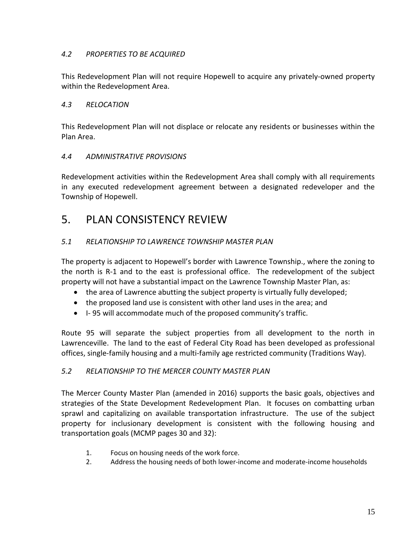### <span id="page-19-0"></span>*4.2 PROPERTIES TO BE ACQUIRED*

This Redevelopment Plan will not require Hopewell to acquire any privately-owned property within the Redevelopment Area.

### <span id="page-19-1"></span>*4.3 RELOCATION*

This Redevelopment Plan will not displace or relocate any residents or businesses within the Plan Area.

### <span id="page-19-2"></span>*4.4 ADMINISTRATIVE PROVISIONS*

Redevelopment activities within the Redevelopment Area shall comply with all requirements in any executed redevelopment agreement between a designated redeveloper and the Township of Hopewell.

### <span id="page-19-3"></span>5. PLAN CONSISTENCY REVIEW

### <span id="page-19-4"></span>*5.1 RELATIONSHIP TO LAWRENCE TOWNSHIP MASTER PLAN*

The property is adjacent to Hopewell's border with Lawrence Township., where the zoning to the north is R-1 and to the east is professional office. The redevelopment of the subject property will not have a substantial impact on the Lawrence Township Master Plan, as:

- the area of Lawrence abutting the subject property is virtually fully developed;
- the proposed land use is consistent with other land uses in the area; and
- I- 95 will accommodate much of the proposed community's traffic.

Route 95 will separate the subject properties from all development to the north in Lawrenceville. The land to the east of Federal City Road has been developed as professional offices, single-family housing and a multi-family age restricted community (Traditions Way).

### <span id="page-19-5"></span>*5.2 RELATIONSHIP TO THE MERCER COUNTY MASTER PLAN*

The Mercer County Master Plan (amended in 2016) supports the basic goals, objectives and strategies of the State Development Redevelopment Plan. It focuses on combatting urban sprawl and capitalizing on available transportation infrastructure. The use of the subject property for inclusionary development is consistent with the following housing and transportation goals (MCMP pages 30 and 32):

- 1. Focus on housing needs of the work force.
- 2. Address the housing needs of both lower-income and moderate-income households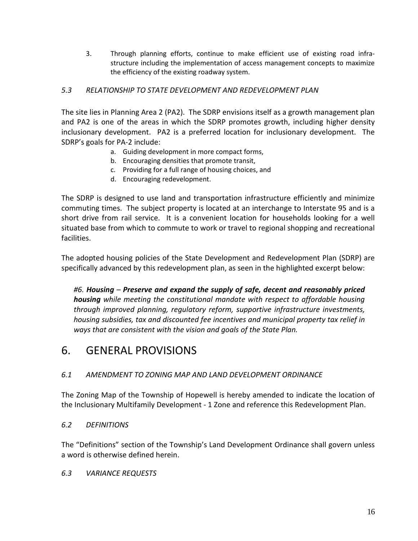3. Through planning efforts, continue to make efficient use of existing road infrastructure including the implementation of access management concepts to maximize the efficiency of the existing roadway system.

### <span id="page-20-0"></span>*5.3 RELATIONSHIP TO STATE DEVELOPMENT AND REDEVELOPMENT PLAN*

The site lies in Planning Area 2 (PA2). The SDRP envisions itself as a growth management plan and PA2 is one of the areas in which the SDRP promotes growth, including higher density inclusionary development. PA2 is a preferred location for inclusionary development. The SDRP's goals for PA-2 include:

- a. Guiding development in more compact forms,
- b. Encouraging densities that promote transit,
- c. Providing for a full range of housing choices, and
- d. Encouraging redevelopment.

The SDRP is designed to use land and transportation infrastructure efficiently and minimize commuting times. The subject property is located at an interchange to Interstate 95 and is a short drive from rail service. It is a convenient location for households looking for a well situated base from which to commute to work or travel to regional shopping and recreational facilities.

The adopted housing policies of the State Development and Redevelopment Plan (SDRP) are specifically advanced by this redevelopment plan, as seen in the highlighted excerpt below:

*#6. Housing – Preserve and expand the supply of safe, decent and reasonably priced housing while meeting the constitutional mandate with respect to affordable housing through improved planning, regulatory reform, supportive infrastructure investments, housing subsidies, tax and discounted fee incentives and municipal property tax relief in ways that are consistent with the vision and goals of the State Plan.*

### <span id="page-20-1"></span>6. GENERAL PROVISIONS

### <span id="page-20-2"></span>*6.1 AMENDMENT TO ZONING MAP AND LAND DEVELOPMENT ORDINANCE*

The Zoning Map of the Township of Hopewell is hereby amended to indicate the location of the Inclusionary Multifamily Development - 1 Zone and reference this Redevelopment Plan.

### <span id="page-20-3"></span>*6.2 DEFINITIONS*

The "Definitions" section of the Township's Land Development Ordinance shall govern unless a word is otherwise defined herein.

### <span id="page-20-4"></span>*6.3 VARIANCE REQUESTS*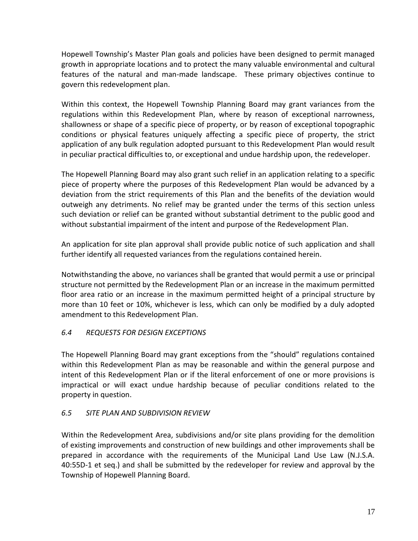Hopewell Township's Master Plan goals and policies have been designed to permit managed growth in appropriate locations and to protect the many valuable environmental and cultural features of the natural and man-made landscape. These primary objectives continue to govern this redevelopment plan.

Within this context, the Hopewell Township Planning Board may grant variances from the regulations within this Redevelopment Plan, where by reason of exceptional narrowness, shallowness or shape of a specific piece of property, or by reason of exceptional topographic conditions or physical features uniquely affecting a specific piece of property, the strict application of any bulk regulation adopted pursuant to this Redevelopment Plan would result in peculiar practical difficulties to, or exceptional and undue hardship upon, the redeveloper.

The Hopewell Planning Board may also grant such relief in an application relating to a specific piece of property where the purposes of this Redevelopment Plan would be advanced by a deviation from the strict requirements of this Plan and the benefits of the deviation would outweigh any detriments. No relief may be granted under the terms of this section unless such deviation or relief can be granted without substantial detriment to the public good and without substantial impairment of the intent and purpose of the Redevelopment Plan.

An application for site plan approval shall provide public notice of such application and shall further identify all requested variances from the regulations contained herein.

Notwithstanding the above, no variances shall be granted that would permit a use or principal structure not permitted by the Redevelopment Plan or an increase in the maximum permitted floor area ratio or an increase in the maximum permitted height of a principal structure by more than 10 feet or 10%, whichever is less, which can only be modified by a duly adopted amendment to this Redevelopment Plan.

### <span id="page-21-0"></span>*6.4 REQUESTS FOR DESIGN EXCEPTIONS*

The Hopewell Planning Board may grant exceptions from the "should" regulations contained within this Redevelopment Plan as may be reasonable and within the general purpose and intent of this Redevelopment Plan or if the literal enforcement of one or more provisions is impractical or will exact undue hardship because of peculiar conditions related to the property in question.

### <span id="page-21-1"></span>*6.5 SITE PLAN AND SUBDIVISION REVIEW*

Within the Redevelopment Area, subdivisions and/or site plans providing for the demolition of existing improvements and construction of new buildings and other improvements shall be prepared in accordance with the requirements of the Municipal Land Use Law (N.J.S.A. 40:55D-1 et seq.) and shall be submitted by the redeveloper for review and approval by the Township of Hopewell Planning Board.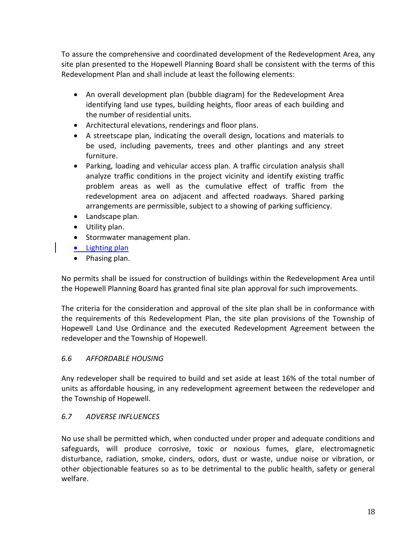To assure the comprehensive and coordinated development of the Redevelopment Area, any site plan presented to the Hopewell Planning Board shall be consistent with the terms of this Redevelopment Plan and shall include at least the following elements:

- An overall development plan (bubble diagram) for the Redevelopment Area identifying land use types, building heights, floor areas of each building and the number of residential units.
- Architectural elevations, renderings and floor plans.
- A streetscape plan, indicating the overall design, locations and materials to be used, including pavements, trees and other plantings and any street furniture.
- Parking, loading and vehicular access plan. A traffic circulation analysis shall analyze traffic conditions in the project vicinity and identify existing traffic problem areas as well as the cumulative effect of traffic from the redevelopment area on adjacent and affected roadways. Shared parking arrangements are permissible, subject to a showing of parking sufficiency.
- Landscape plan.
- Utility plan.
- Stormwater management plan.
- Lighting plan
- Phasing plan.

No permits shall be issued for construction of buildings within the Redevelopment Area until the Hopewell Planning Board has granted final site plan approval for such improvements.

The criteria for the consideration and approval of the site plan shall be in conformance with the requirements of this Redevelopment Plan, the site plan provisions of the Township of Hopewell Land Use Ordinance and the executed Redevelopment Agreement between the redeveloper and the Township of Hopewell.

### <span id="page-22-0"></span>*6.6 AFFORDABLE HOUSING*

Any redeveloper shall be required to build and set aside at least 16% of the total number of units as affordable housing, in any redevelopment agreement between the redeveloper and the Township of Hopewell.

### <span id="page-22-1"></span>*6.7 ADVERSE INFLUENCES*

No use shall be permitted which, when conducted under proper and adequate conditions and safeguards, will produce corrosive, toxic or noxious fumes, glare, electromagnetic disturbance, radiation, smoke, cinders, odors, dust or waste, undue noise or vibration, or other objectionable features so as to be detrimental to the public health, safety or general welfare.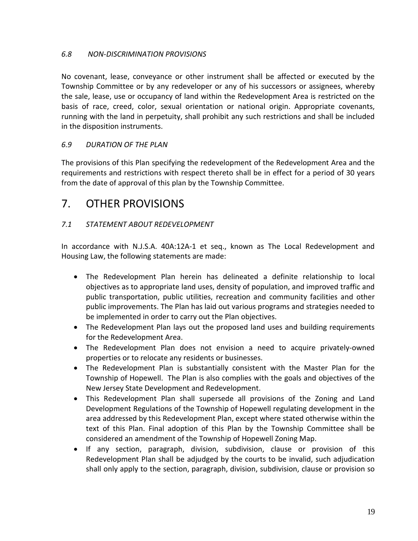### <span id="page-23-0"></span>*6.8 NON-DISCRIMINATION PROVISIONS*

No covenant, lease, conveyance or other instrument shall be affected or executed by the Township Committee or by any redeveloper or any of his successors or assignees, whereby the sale, lease, use or occupancy of land within the Redevelopment Area is restricted on the basis of race, creed, color, sexual orientation or national origin. Appropriate covenants, running with the land in perpetuity, shall prohibit any such restrictions and shall be included in the disposition instruments.

### <span id="page-23-1"></span>*6.9 DURATION OF THE PLAN*

The provisions of this Plan specifying the redevelopment of the Redevelopment Area and the requirements and restrictions with respect thereto shall be in effect for a period of 30 years from the date of approval of this plan by the Township Committee.

### <span id="page-23-2"></span>7. OTHER PROVISIONS

### <span id="page-23-3"></span>*7.1 STATEMENT ABOUT REDEVELOPMENT*

In accordance with N.J.S.A. 40A:12A-1 et seq., known as The Local Redevelopment and Housing Law, the following statements are made:

- The Redevelopment Plan herein has delineated a definite relationship to local objectives as to appropriate land uses, density of population, and improved traffic and public transportation, public utilities, recreation and community facilities and other public improvements. The Plan has laid out various programs and strategies needed to be implemented in order to carry out the Plan objectives.
- The Redevelopment Plan lays out the proposed land uses and building requirements for the Redevelopment Area.
- The Redevelopment Plan does not envision a need to acquire privately-owned properties or to relocate any residents or businesses.
- The Redevelopment Plan is substantially consistent with the Master Plan for the Township of Hopewell. The Plan is also complies with the goals and objectives of the New Jersey State Development and Redevelopment.
- This Redevelopment Plan shall supersede all provisions of the Zoning and Land Development Regulations of the Township of Hopewell regulating development in the area addressed by this Redevelopment Plan, except where stated otherwise within the text of this Plan. Final adoption of this Plan by the Township Committee shall be considered an amendment of the Township of Hopewell Zoning Map.
- If any section, paragraph, division, subdivision, clause or provision of this Redevelopment Plan shall be adjudged by the courts to be invalid, such adjudication shall only apply to the section, paragraph, division, subdivision, clause or provision so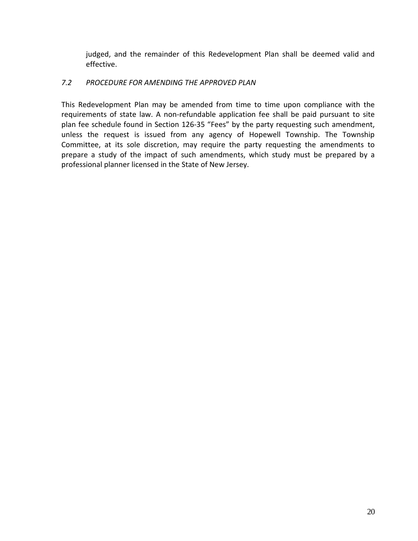judged, and the remainder of this Redevelopment Plan shall be deemed valid and effective.

### <span id="page-24-0"></span>*7.2 PROCEDURE FOR AMENDING THE APPROVED PLAN*

This Redevelopment Plan may be amended from time to time upon compliance with the requirements of state law. A non-refundable application fee shall be paid pursuant to site plan fee schedule found in Section 126-35 "Fees" by the party requesting such amendment, unless the request is issued from any agency of Hopewell Township. The Township Committee, at its sole discretion, may require the party requesting the amendments to prepare a study of the impact of such amendments, which study must be prepared by a professional planner licensed in the State of New Jersey.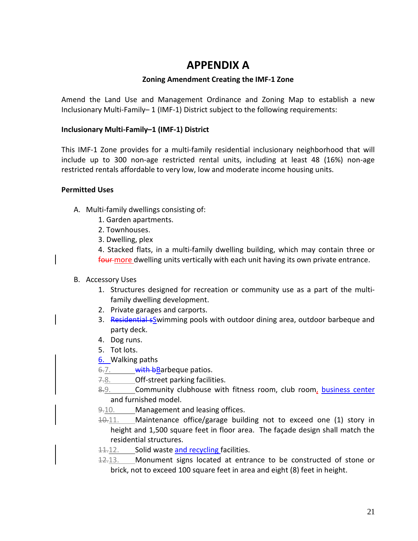### **APPENDIX A**

### **Zoning Amendment Creating the IMF-1 Zone**

<span id="page-25-0"></span>Amend the Land Use and Management Ordinance and Zoning Map to establish a new Inclusionary Multi-Family– 1 (IMF-1) District subject to the following requirements:

### **Inclusionary Multi-Family–1 (IMF-1) District**

This IMF-1 Zone provides for a multi-family residential inclusionary neighborhood that will include up to 300 non-age restricted rental units, including at least 48 (16%) non-age restricted rentals affordable to very low, low and moderate income housing units.

### **Permitted Uses**

- A. Multi-family dwellings consisting of:
	- 1. Garden apartments.
	- 2. Townhouses.
	- 3. Dwelling, plex

4. Stacked flats, in a multi-family dwelling building, which may contain three or four more dwelling units vertically with each unit having its own private entrance.

### B. Accessory Uses

- 1. Structures designed for recreation or community use as a part of the multifamily dwelling development.
- 2. Private garages and carports.
- 3. Residential sSwimming pools with outdoor dining area, outdoor barbeque and party deck.
- 4. Dog runs.
- 5. Tot lots.
- 6. Walking paths
- 6.7. **with b**Barbeque patios.
- 7.8. Off-street parking facilities.
- 8.9. Community clubhouse with fitness room, club room, business center and furnished model.
- 9.10. Management and leasing offices.
- 10.11. Maintenance office/garage building not to exceed one (1) story in height and 1,500 square feet in floor area. The façade design shall match the residential structures.
- 11.12. Solid waste and recycling facilities.
- 12.13. Monument signs located at entrance to be constructed of stone or brick, not to exceed 100 square feet in area and eight (8) feet in height.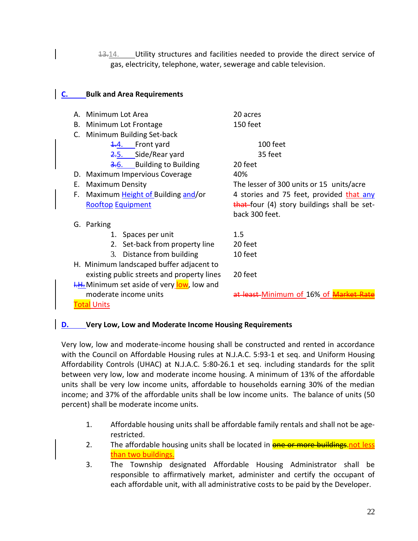13.14. Utility structures and facilities needed to provide the direct service of gas, electricity, telephone, water, sewerage and cable television.

### **C. Bulk and Area Requirements** A. Minimum Lot Area 20 acres B. Minimum Lot Frontage 150 feet C. Minimum Building Set-back 1.4. Front yard 100 feet 2.5. Side/Rear yard 35 feet 3.6. Building to Building 20 feet D. Maximum Impervious Coverage 40% E. Maximum Density The lesser of 300 units or 15 units/acre F. Maximum Height of Building and/or 4 stories and 75 feet, provided that any Rooftop Equipment that four (4) story buildings shall be setback 300 feet. G. Parking 1. Spaces per unit 1.5 2. Set-back from property line 20 feet 3. Distance from building 10 feet H. Minimum landscaped buffer adjacent to existing public streets and property lines 20 feet **I.H.** Minimum set aside of very low, low and moderate income units and the set-Minimum of 16% of Market Rate **Total Units**

### **D. Very Low, Low and Moderate Income Housing Requirements**

Very low, low and moderate-income housing shall be constructed and rented in accordance with the Council on Affordable Housing rules at N.J.A.C. 5:93-1 et seq. and Uniform Housing Affordability Controls (UHAC) at N.J.A.C. 5:80-26.1 et seq. including standards for the split between very low, low and moderate income housing. A minimum of 13% of the affordable units shall be very low income units, affordable to households earning 30% of the median income; and 37% of the affordable units shall be low income units. The balance of units (50 percent) shall be moderate income units.

- 1. Affordable housing units shall be affordable family rentals and shall not be agerestricted.
- 2. The affordable housing units shall be located in **one or more buildings, not less** than two buildings.
- 3. The Township designated Affordable Housing Administrator shall be responsible to affirmatively market, administer and certify the occupant of each affordable unit, with all administrative costs to be paid by the Developer.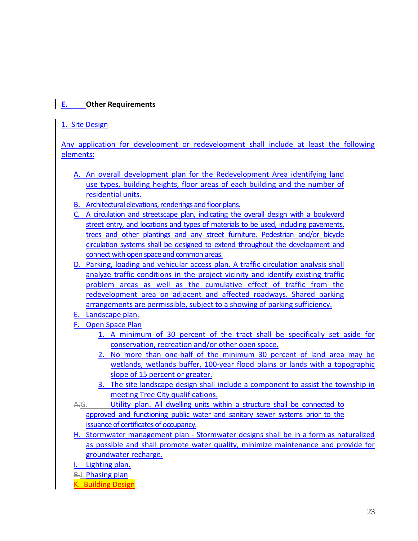### **E. Other Requirements**

### 1. Site Design

Any application for development or redevelopment shall include at least the following elements:

- A. An overall development plan for the Redevelopment Area identifying land use types, building heights, floor areas of each building and the number of residential units.
- B. Architectural elevations, renderings and floor plans.
- C. A circulation and streetscape plan, indicating the overall design with a boulevard street entry, and locations and types of materials to be used, including pavements, trees and other plantings and any street furniture. Pedestrian and/or bicycle circulation systems shall be designed to extend throughout the development and connect with open space and common areas.
- D. Parking, loading and vehicular access plan. A traffic circulation analysis shall analyze traffic conditions in the project vicinity and identify existing traffic problem areas as well as the cumulative effect of traffic from the redevelopment area on adjacent and affected roadways. Shared parking arrangements are permissible, subject to a showing of parking sufficiency.
- E. Landscape plan.
- F. Open Space Plan
	- 1. A minimum of 30 percent of the tract shall be specifically set aside for conservation, recreation and/or other open space.
	- 2. No more than one-half of the minimum 30 percent of land area may be wetlands, wetlands buffer, 100-year flood plains or lands with a topographic slope of 15 percent or greater.
	- 3. The site landscape design shall include a component to assist the township in meeting Tree City qualifications.
- A.G. Utility plan. All dwelling units within a structure shall be connected to approved and functioning public water and sanitary sewer systems prior to the issuance of certificates of occupancy.
- H. Stormwater management plan Stormwater designs shall be in a form as naturalized as possible and shall promote water quality, minimize maintenance and provide for groundwater recharge.
- I. Lighting plan.
- B.J. Phasing plan
- K. Building Design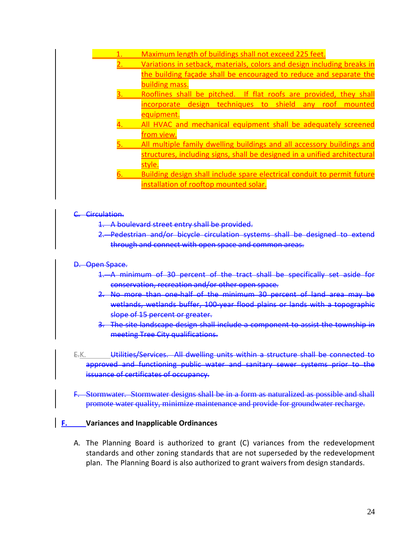- 1. Maximum length of buildings shall not exceed 225 feet. 2. Variations in setback, materials, colors and design including breaks in the building façade shall be encouraged to reduce and separate the building mass. Rooflines shall be pitched. If flat roofs are provided, they shall incorporate design techniques to shield any roof mounted equipment. All HVAC and mechanical equipment shall be adequately screened from view. All multiple family dwelling buildings and all accessory buildings and structures, including signs, shall be designed in a unified architectural style. 6. Building design shall include spare electrical conduit to permit future
	- installation of rooftop mounted solar.

#### Circulation.

- 1. A boulevard street entry shall be provided.
- 2. Pedestrian and/or bicycle circulation systems shall be designed through and connect with open space and common areas.

#### D. Open Space.

- 1. A minimum of 30 percent of the tract shall be specifically set aside for conservation, recreation and/or other open space.
- $2.$  No more than one-half of the minimum 30 percent of land area wetlands, wetlands buffer, 100-year flood plains or lands with a topographic slope of 15 percent or greater.
- The site landscape design shall include a component to assist the township in meeting Tree City qualifications.
- E.K. **Utilities/Services. All dwelling units within a structure shall be connected to** approved and functioning public water and sanitary sewer systems prior issuance of certificates of occupancy.
- F. Stormwater. Stormwater designs shall be in a form as naturalized as possible and shall promote water quality, minimize maintenance and provide for groundwater recharge.

### **F. Variances and Inapplicable Ordinances**

A. The Planning Board is authorized to grant (C) variances from the redevelopment standards and other zoning standards that are not superseded by the redevelopment plan. The Planning Board is also authorized to grant waivers from design standards.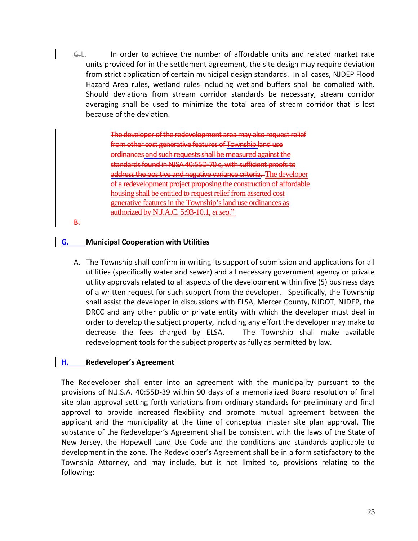G.L. In order to achieve the number of affordable units and related market rate units provided for in the settlement agreement, the site design may require deviation from strict application of certain municipal design standards. In all cases, NJDEP Flood Hazard Area rules, wetland rules including wetland buffers shall be complied with. Should deviations from stream corridor standards be necessary, stream corridor averaging shall be used to minimize the total area of stream corridor that is lost because of the deviation.

> The developer of the redevelopment area from other cost generative features of Township land use ordinances and such requests shall be measured against the standards found in NJSA 40:55D-70 c, with sufficient proofs to address the positive and negative variance criteria. The developer of a redevelopment project proposing the construction of affordable housing shall be entitled to request relief from asserted cost generative features in the Township's land use ordinances as authorized by N.J.A.C. 5:93-10.1, *et seq*."

B.

### **G. Municipal Cooperation with Utilities**

A. The Township shall confirm in writing its support of submission and applications for all utilities (specifically water and sewer) and all necessary government agency or private utility approvals related to all aspects of the development within five (5) business days of a written request for such support from the developer. Specifically, the Township shall assist the developer in discussions with ELSA, Mercer County, NJDOT, NJDEP, the DRCC and any other public or private entity with which the developer must deal in order to develop the subject property, including any effort the developer may make to decrease the fees charged by ELSA. The Township shall make available redevelopment tools for the subject property as fully as permitted by law.

### **H. Redeveloper's Agreement**

The Redeveloper shall enter into an agreement with the municipality pursuant to the provisions of N.J.S.A. 40:55D-39 within 90 days of a memorialized Board resolution of final site plan approval setting forth variations from ordinary standards for preliminary and final approval to provide increased flexibility and promote mutual agreement between the applicant and the municipality at the time of conceptual master site plan approval. The substance of the Redeveloper's Agreement shall be consistent with the laws of the State of New Jersey, the Hopewell Land Use Code and the conditions and standards applicable to development in the zone. The Redeveloper's Agreement shall be in a form satisfactory to the Township Attorney, and may include, but is not limited to, provisions relating to the following: